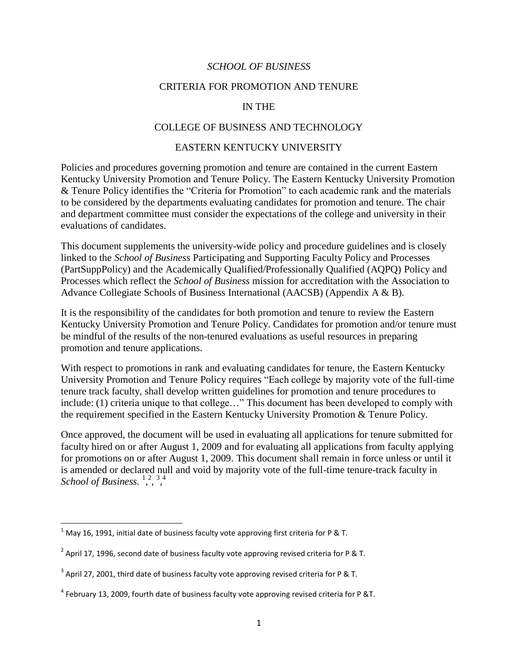#### *SCHOOL OF BUSINESS*

#### CRITERIA FOR PROMOTION AND TENURE

### IN THE

#### COLLEGE OF BUSINESS AND TECHNOLOGY

#### **EASTERN KENTUCKY UNIVERSITY**

EASTERN KENTUCKY UNIVERSITY<br>Policies and procedures governing promotion and tenure are contained in the current Eastern Kentucky University Promotion and Tenure Policy. The Eastern Kentucky University Promotion and department committee must consider the expectations of the college and university in their evaluations of candidates. & Tenure Policy identifies the "Criteria for Promotion" to each academic rank and the materials to be considered by the departments evaluating candidates for promotion and tenure. The chair

 This document supplements the university-wide policy and procedure guidelines and is closely Processes which reflect the *School of Business* mission for accreditation with the Association to Advance Collegiate Schools of Business International (AACSB) (Appendix A & B). linked to the *School of Business* Participating and Supporting Faculty Policy and Processes (PartSuppPolicy) and the Academically Qualified/Professionally Qualified (AQPQ) Policy and

 Kentucky University Promotion and Tenure Policy. Candidates for promotion and/or tenure must be mindful of the results of the non-tenured evaluations as useful resources in preparing It is the responsibility of the candidates for both promotion and tenure to review the Eastern promotion and tenure applications.

 With respect to promotions in rank and evaluating candidates for tenure, the Eastern Kentucky University Promotion and Tenure Policy requires "Each college by majority vote of the full-time the requirement specified in the Eastern Kentucky University Promotion & Tenure Policy. tenure track faculty, shall develop written guidelines for promotion and tenure procedures to include: (1) criteria unique to that college…" This document has been developed to comply with

School of Business.<sup>1,2,3,4</sup> Once approved, the document will be used in evaluating all applications for tenure submitted for faculty hired on or after August 1, 2009 and for evaluating all applications from faculty applying for promotions on or after August 1, 2009. This document shall remain in force unless or until it is amended or declared null and void by majority vote of the full-time tenure-track faculty in

l

 $^1$  May 16, 1991, initial date of business faculty vote approving first criteria for P & T.

<sup>&</sup>lt;sup>2</sup> April 17, 1996, second date of business faculty vote approving revised criteria for P & T.

 $^3$  April 27, 2001, third date of business faculty vote approving revised criteria for P & T.

 $^4$  February 13, 2009, fourth date of business faculty vote approving revised criteria for P &T.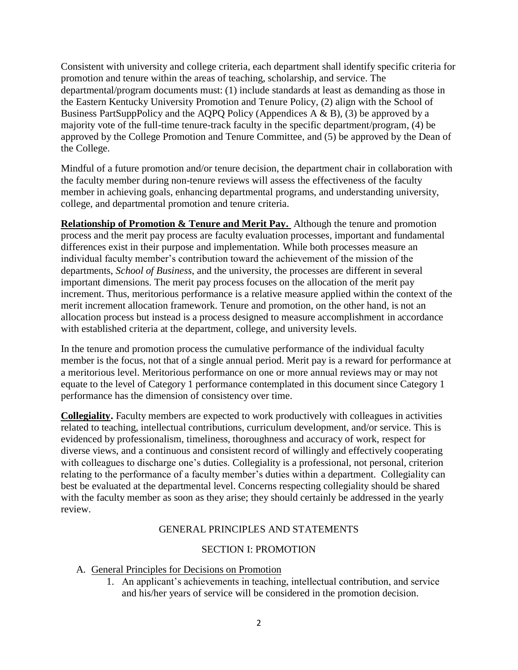majority vote of the full-time tenure-track faculty in the specific department/program, (4) be Consistent with university and college criteria, each department shall identify specific criteria for promotion and tenure within the areas of teaching, scholarship, and service. The departmental/program documents must: (1) include standards at least as demanding as those in the Eastern Kentucky University Promotion and Tenure Policy, (2) align with the School of Business PartSuppPolicy and the AQPQ Policy (Appendices  $A \& B$ ), (3) be approved by a approved by the College Promotion and Tenure Committee, and (5) be approved by the Dean of the College.

 the faculty member during non-tenure reviews will assess the effectiveness of the faculty member in achieving goals, enhancing departmental programs, and understanding university, college, and departmental promotion and tenure criteria. Mindful of a future promotion and/or tenure decision, the department chair in collaboration with

 important dimensions. The merit pay process focuses on the allocation of the merit pay merit increment allocation framework. Tenure and promotion, on the other hand, is not an **Relationship of Promotion & Tenure and Merit Pay.** Although the tenure and promotion process and the merit pay process are faculty evaluation processes, important and fundamental differences exist in their purpose and implementation. While both processes measure an individual faculty member's contribution toward the achievement of the mission of the departments, *School of Business*, and the university, the processes are different in several increment. Thus, meritorious performance is a relative measure applied within the context of the allocation process but instead is a process designed to measure accomplishment in accordance with established criteria at the department, college, and university levels.

 In the tenure and promotion process the cumulative performance of the individual faculty member is the focus, not that of a single annual period. Merit pay is a reward for performance at equate to the level of Category 1 performance contemplated in this document since Category 1 a meritorious level. Meritorious performance on one or more annual reviews may or may not performance has the dimension of consistency over time.

**Collegiality.** Faculty members are expected to work productively with colleagues in activities related to teaching, intellectual contributions, curriculum development, and/or service. This is evidenced by professionalism, timeliness, thoroughness and accuracy of work, respect for diverse views, and a continuous and consistent record of willingly and effectively cooperating with colleagues to discharge one's duties. Collegiality is a professional, not personal, criterion relating to the performance of a faculty member's duties within a department. Collegiality can best be evaluated at the departmental level. Concerns respecting collegiality should be shared with the faculty member as soon as they arise; they should certainly be addressed in the yearly review.

### GENERAL PRINCIPLES AND STATEMENTS

### SECTION I: PROMOTION

- A. General Principles for Decisions on Promotion
	- 1. An applicant's achievements in teaching, intellectual contribution, and service and his/her years of service will be considered in the promotion decision.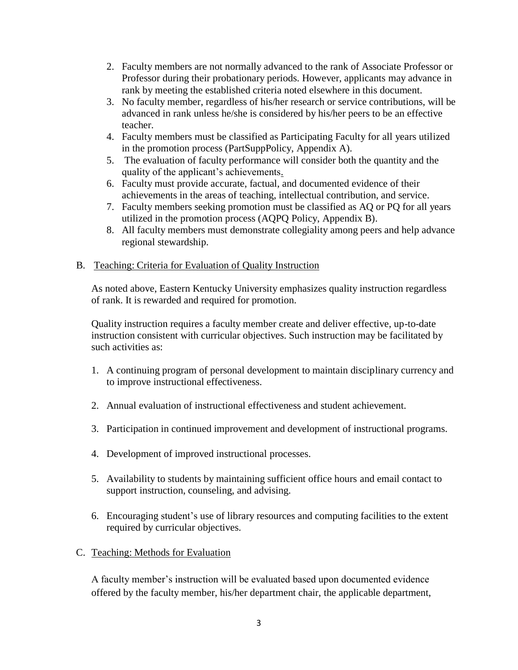- Professor during their probationary periods. However, applicants may advance in 2. Faculty members are not normally advanced to the rank of Associate Professor or rank by meeting the established criteria noted elsewhere in this document.
- 3. No faculty member, regardless of his/her research or service contributions, will be advanced in rank unless he/she is considered by his/her peers to be an effective teacher.
- 4. Faculty members must be classified as Participating Faculty for all years utilized in the promotion process (PartSuppPolicy, Appendix A).
- 5. The evaluation of faculty performance will consider both the quantity and the quality of the applicant's achievements.
- achievements in the areas of teaching, intellectual contribution, and service. 6. Faculty must provide accurate, factual, and documented evidence of their
- 7. Faculty members seeking promotion must be classified as AQ or PQ for all years utilized in the promotion process (AQPQ Policy, Appendix B).
- 8. All faculty members must demonstrate collegiality among peers and help advance regional stewardship.

## B. Teaching: Criteria for Evaluation of Quality Instruction

As noted above, Eastern Kentucky University emphasizes quality instruction regardless of rank. It is rewarded and required for promotion.

Quality instruction requires a faculty member create and deliver effective, up-to-date instruction consistent with curricular objectives. Such instruction may be facilitated by such activities as:

- 1. A continuing program of personal development to maintain disciplinary currency and to improve instructional effectiveness.
- 2. Annual evaluation of instructional effectiveness and student achievement.
- 3. Participation in continued improvement and development of instructional programs.
- 4. Development of improved instructional processes.
- 5. Availability to students by maintaining sufficient office hours and email contact to support instruction, counseling, and advising.
- 6. Encouraging student's use of library resources and computing facilities to the extent required by curricular objectives.
- C. Teaching: Methods for Evaluation

A faculty member's instruction will be evaluated based upon documented evidence offered by the faculty member, his/her department chair, the applicable department,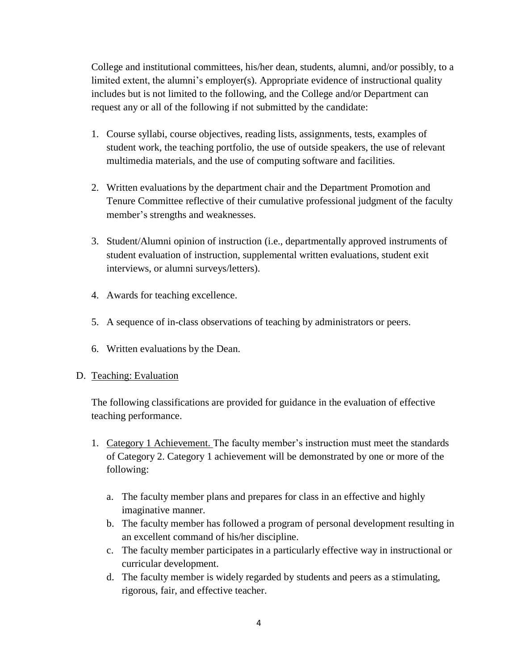includes but is not limited to the following, and the College and/or Department can request any or all of the following if not submitted by the candidate: College and institutional committees, his/her dean, students, alumni, and/or possibly, to a limited extent, the alumni's employer(s). Appropriate evidence of instructional quality

- multimedia materials, and the use of computing software and facilities. 1. Course syllabi, course objectives, reading lists, assignments, tests, examples of student work, the teaching portfolio, the use of outside speakers, the use of relevant
- 2. Written evaluations by the department chair and the Department Promotion and Tenure Committee reflective of their cumulative professional judgment of the faculty member's strengths and weaknesses.
- 3. Student/Alumni opinion of instruction (i.e., departmentally approved instruments of student evaluation of instruction, supplemental written evaluations, student exit interviews, or alumni surveys/letters).
- 4. Awards for teaching excellence.
- 5. A sequence of in-class observations of teaching by administrators or peers. 6. Written evaluations by the Dean.
- 

## D. Teaching: Evaluation

The following classifications are provided for guidance in the evaluation of effective teaching performance.

- 1. Category 1 Achievement. The faculty member's instruction must meet the standards of Category 2. Category 1 achievement will be demonstrated by one or more of the following:
	- imaginative manner. a. The faculty member plans and prepares for class in an effective and highly
	- b. The faculty member has followed a program of personal development resulting in an excellent command of his/her discipline.
	- c. The faculty member participates in a particularly effective way in instructional or curricular development.
	- d. The faculty member is widely regarded by students and peers as a stimulating, rigorous, fair, and effective teacher.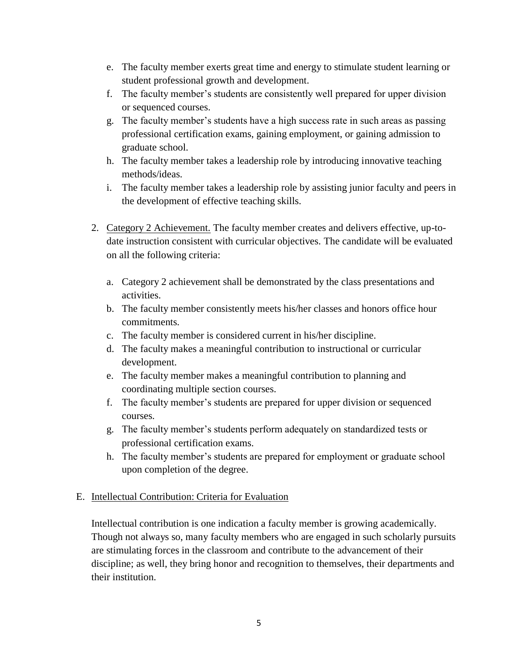- e. The faculty member exerts great time and energy to stimulate student learning or student professional growth and development.
- f. The faculty member's students are consistently well prepared for upper division or sequenced courses.
- g. The faculty member's students have a high success rate in such areas as passing professional certification exams, gaining employment, or gaining admission to graduate school.
- h. The faculty member takes a leadership role by introducing innovative teaching methods/ideas.
- i. The faculty member takes a leadership role by assisting junior faculty and peers in the development of effective teaching skills.
- 2. Category 2 Achievement. The faculty member creates and delivers effective, up-todate instruction consistent with curricular objectives. The candidate will be evaluated on all the following criteria:
	- a. Category 2 achievement shall be demonstrated by the class presentations and activities.
	- b. The faculty member consistently meets his/her classes and honors office hour commitments.
	- c. The faculty member is considered current in his/her discipline.
	- d. The faculty makes a meaningful contribution to instructional or curricular development.
	- e. The faculty member makes a meaningful contribution to planning and coordinating multiple section courses.
	- f. The faculty member's students are prepared for upper division or sequenced courses.
	- g. The faculty member's students perform adequately on standardized tests or professional certification exams.
	- h. The faculty member's students are prepared for employment or graduate school upon completion of the degree.

## E. Intellectual Contribution: Criteria for Evaluation

 are stimulating forces in the classroom and contribute to the advancement of their discipline; as well, they bring honor and recognition to themselves, their departments and Intellectual contribution is one indication a faculty member is growing academically. Though not always so, many faculty members who are engaged in such scholarly pursuits their institution.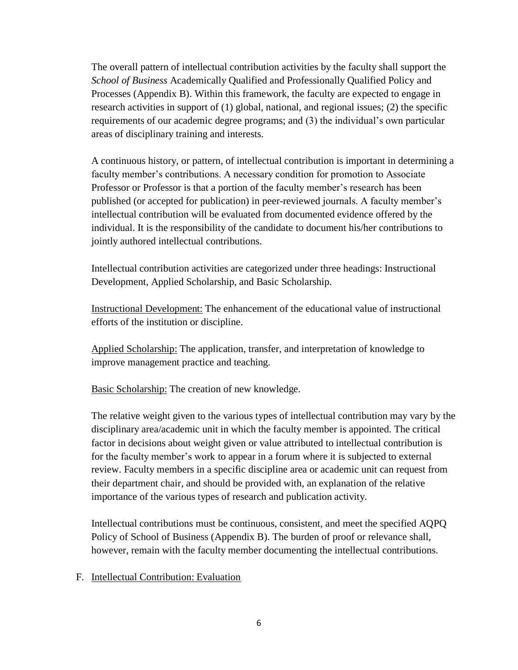Processes (Appendix B). Within this framework, the faculty are expected to engage in The overall pattern of intellectual contribution activities by the faculty shall support the *School of Business* Academically Qualified and Professionally Qualified Policy and research activities in support of (1) global, national, and regional issues; (2) the specific requirements of our academic degree programs; and (3) the individual's own particular areas of disciplinary training and interests.

A continuous history, or pattern, of intellectual contribution is important in determining a faculty member's contributions. A necessary condition for promotion to Associate Professor or Professor is that a portion of the faculty member's research has been published (or accepted for publication) in peer-reviewed journals. A faculty member's intellectual contribution will be evaluated from documented evidence offered by the individual. It is the responsibility of the candidate to document his/her contributions to jointly authored intellectual contributions.

Intellectual contribution activities are categorized under three headings: Instructional Development, Applied Scholarship, and Basic Scholarship.

Instructional Development: The enhancement of the educational value of instructional efforts of the institution or discipline.

Applied Scholarship: The application, transfer, and interpretation of knowledge to improve management practice and teaching.

Basic Scholarship: The creation of new knowledge.

 The relative weight given to the various types of intellectual contribution may vary by the disciplinary area/academic unit in which the faculty member is appointed. The critical for the faculty member's work to appear in a forum where it is subjected to external their department chair, and should be provided with, an explanation of the relative factor in decisions about weight given or value attributed to intellectual contribution is review. Faculty members in a specific discipline area or academic unit can request from importance of the various types of research and publication activity.

 Intellectual contributions must be continuous, consistent, and meet the specified AQPQ Policy of School of Business (Appendix B). The burden of proof or relevance shall, however, remain with the faculty member documenting the intellectual contributions.

### F. Intellectual Contribution: Evaluation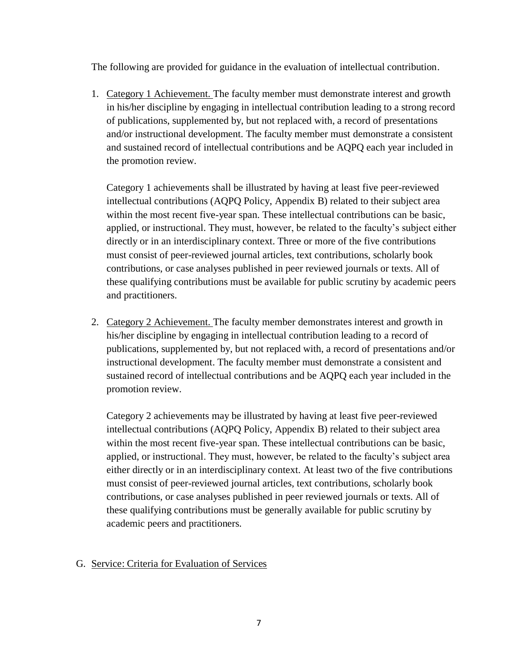The following are provided for guidance in the evaluation of intellectual contribution.

1. Category 1 Achievement. The faculty member must demonstrate interest and growth and/or instructional development. The faculty member must demonstrate a consistent in his/her discipline by engaging in intellectual contribution leading to a strong record of publications, supplemented by, but not replaced with, a record of presentations and sustained record of intellectual contributions and be AQPQ each year included in the promotion review.

Category 1 achievements shall be illustrated by having at least five peer-reviewed intellectual contributions (AQPQ Policy, Appendix B) related to their subject area within the most recent five-year span. These intellectual contributions can be basic, applied, or instructional. They must, however, be related to the faculty's subject either directly or in an interdisciplinary context. Three or more of the five contributions must consist of peer-reviewed journal articles, text contributions, scholarly book contributions, or case analyses published in peer reviewed journals or texts. All of these qualifying contributions must be available for public scrutiny by academic peers and practitioners.

 instructional development. The faculty member must demonstrate a consistent and 2. Category 2 Achievement. The faculty member demonstrates interest and growth in his/her discipline by engaging in intellectual contribution leading to a record of publications, supplemented by, but not replaced with, a record of presentations and/or sustained record of intellectual contributions and be AQPQ each year included in the promotion review.

 applied, or instructional. They must, however, be related to the faculty's subject area Category 2 achievements may be illustrated by having at least five peer-reviewed intellectual contributions (AQPQ Policy, Appendix B) related to their subject area within the most recent five-year span. These intellectual contributions can be basic, either directly or in an interdisciplinary context. At least two of the five contributions must consist of peer-reviewed journal articles, text contributions, scholarly book contributions, or case analyses published in peer reviewed journals or texts. All of these qualifying contributions must be generally available for public scrutiny by academic peers and practitioners.

## G. Service: Criteria for Evaluation of Services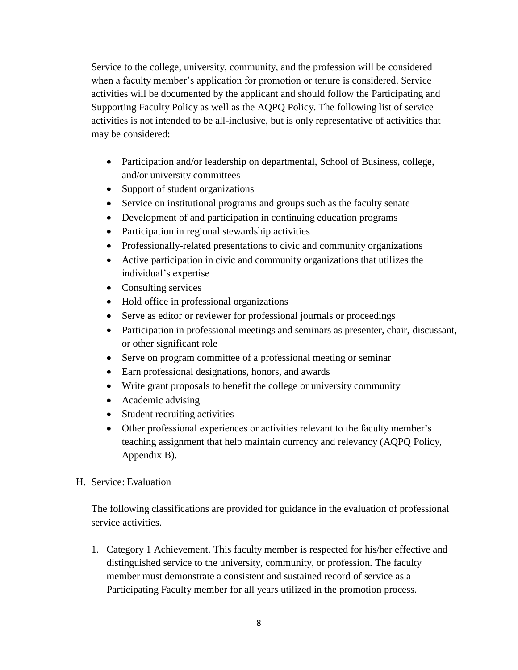Supporting Faculty Policy as well as the AQPQ Policy. The following list of service may be considered: Service to the college, university, community, and the profession will be considered when a faculty member's application for promotion or tenure is considered. Service activities will be documented by the applicant and should follow the Participating and activities is not intended to be all-inclusive, but is only representative of activities that

- and/or university committees • Participation and/or leadership on departmental, School of Business, college,
- Support of student organizations
- Service on institutional programs and groups such as the faculty senate
- Development of and participation in continuing education programs
- Participation in regional stewardship activities
- Professionally-related presentations to civic and community organizations
- Active participation in civic and community organizations that utilizes the individual's expertise
- Consulting services
- Hold office in professional organizations
- Serve as editor or reviewer for professional journals or proceedings
- Participation in professional meetings and seminars as presenter, chair, discussant, or other significant role
- Serve on program committee of a professional meeting or seminar
- Earn professional designations, honors, and awards
- Write grant proposals to benefit the college or university community
- Academic advising
- Student recruiting activities
- Other professional experiences or activities relevant to the faculty member's teaching assignment that help maintain currency and relevancy (AQPQ Policy, Appendix B).

## H. Service: Evaluation

The following classifications are provided for guidance in the evaluation of professional service activities.

 distinguished service to the university, community, or profession. The faculty Participating Faculty member for all years utilized in the promotion process. 1. Category 1 Achievement. This faculty member is respected for his/her effective and member must demonstrate a consistent and sustained record of service as a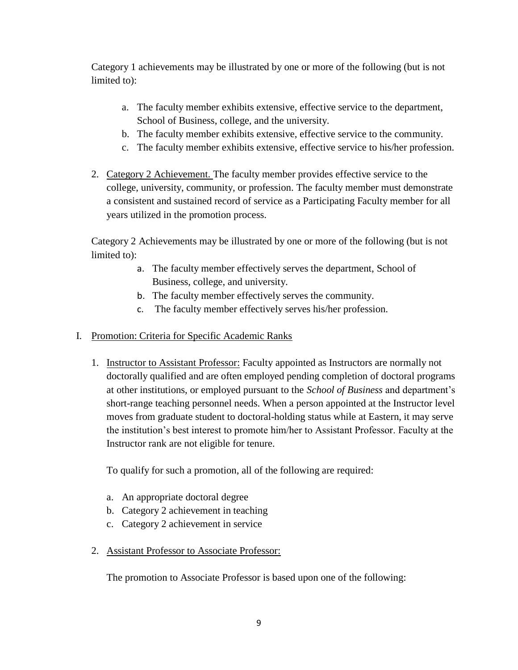Category 1 achievements may be illustrated by one or more of the following (but is not limited to):

- a. The faculty member exhibits extensive, effective service to the department, School of Business, college, and the university.
- b. The faculty member exhibits extensive, effective service to the community.
- c. The faculty member exhibits extensive, effective service to his/her profession.
- 2. Category 2 Achievement. The faculty member provides effective service to the college, university, community, or profession. The faculty member must demonstrate a consistent and sustained record of service as a Participating Faculty member for all years utilized in the promotion process.

 limited to): Category 2 Achievements may be illustrated by one or more of the following (but is not

- Business, college, and university. a. The faculty member effectively serves the department, School of
- b. The faculty member effectively serves the community.
- c. The faculty member effectively serves his/her profession.
- I. Promotion: Criteria for Specific Academic Ranks
	- 1. Instructor to Assistant Professor: Faculty appointed as Instructors are normally not moves from graduate student to doctoral-holding status while at Eastern, it may serve Instructor rank are not eligible for tenure. doctorally qualified and are often employed pending completion of doctoral programs at other institutions, or employed pursuant to the *School of Business* and department's short-range teaching personnel needs. When a person appointed at the Instructor level the institution's best interest to promote him/her to Assistant Professor. Faculty at the

To qualify for such a promotion, all of the following are required:

- a. An appropriate doctoral degree
- b. Category 2 achievement in teaching
- c. Category 2 achievement in service
- 2. Assistant Professor to Associate Professor:

The promotion to Associate Professor is based upon one of the following: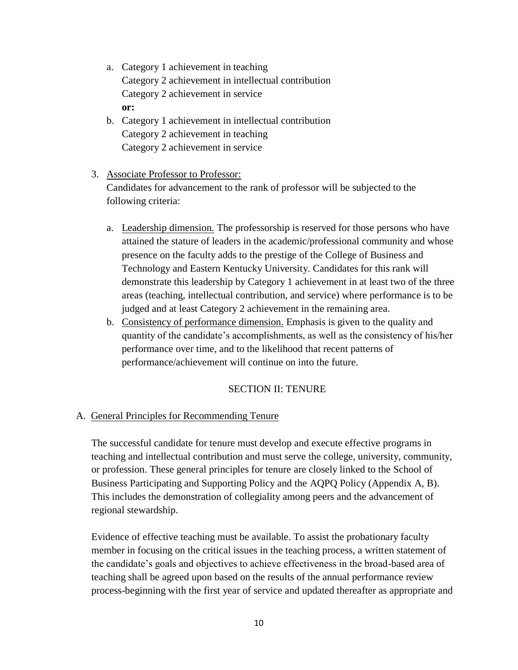- a. Category 1 achievement in teaching Category 2 achievement in intellectual contribution Category 2 achievement in service **or:**
- b. Category 1 achievement in intellectual contribution Category 2 achievement in teaching Category 2 achievement in service

### 3. Associate Professor to Professor:

Candidates for advancement to the rank of professor will be subjected to the following criteria:

- areas (teaching, intellectual contribution, and service) where performance is to be a. Leadership dimension. The professorship is reserved for those persons who have attained the stature of leaders in the academic/professional community and whose presence on the faculty adds to the prestige of the College of Business and Technology and Eastern Kentucky University. Candidates for this rank will demonstrate this leadership by Category 1 achievement in at least two of the three judged and at least Category 2 achievement in the remaining area.
- b. Consistency of performance dimension. Emphasis is given to the quality and quantity of the candidate's accomplishments, as well as the consistency of his/her performance over time, and to the likelihood that recent patterns of performance/achievement will continue on into the future.

### SECTION II: TENURE

### A. General Principles for Recommending Tenure

A. General Principles for Recommending Tenure<br>The successful candidate for tenure must develop and execute effective programs in or profession. These general principles for tenure are closely linked to the School of Business Participating and Supporting Policy and the AQPQ Policy (Appendix A, B). teaching and intellectual contribution and must serve the college, university, community, This includes the demonstration of collegiality among peers and the advancement of regional stewardship.

Evidence of effective teaching must be available. To assist the probationary faculty member in focusing on the critical issues in the teaching process, a written statement of the candidate's goals and objectives to achieve effectiveness in the broad-based area of teaching shall be agreed upon based on the results of the annual performance review process-beginning with the first year of service and updated thereafter as appropriate and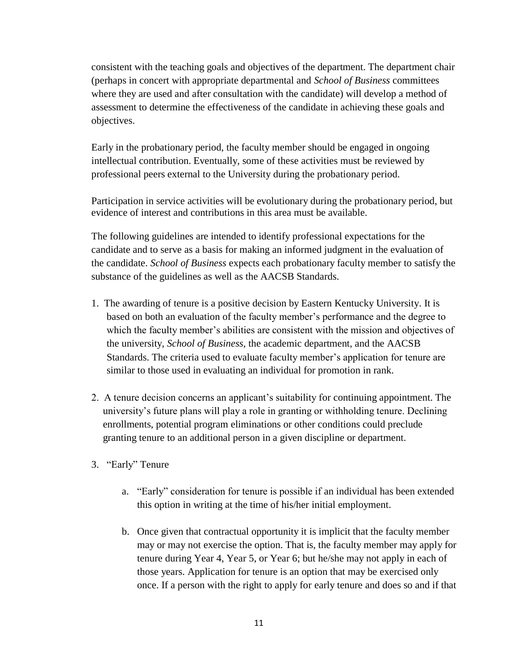(perhaps in concert with appropriate departmental and *School of Business* committees consistent with the teaching goals and objectives of the department. The department chair where they are used and after consultation with the candidate) will develop a method of assessment to determine the effectiveness of the candidate in achieving these goals and objectives.

Early in the probationary period, the faculty member should be engaged in ongoing intellectual contribution. Eventually, some of these activities must be reviewed by professional peers external to the University during the probationary period.

Participation in service activities will be evolutionary during the probationary period, but evidence of interest and contributions in this area must be available.

 the candidate. *School of Business* expects each probationary faculty member to satisfy the The following guidelines are intended to identify professional expectations for the candidate and to serve as a basis for making an informed judgment in the evaluation of substance of the guidelines as well as the AACSB Standards.

- 1. The awarding of tenure is a positive decision by Eastern Kentucky University. It is based on both an evaluation of the faculty member's performance and the degree to which the faculty member's abilities are consistent with the mission and objectives of the university, *School of Business,* the academic department, and the AACSB Standards. The criteria used to evaluate faculty member's application for tenure are similar to those used in evaluating an individual for promotion in rank.
- 2. A tenure decision concerns an applicant's suitability for continuing appointment. The university's future plans will play a role in granting or withholding tenure. Declining enrollments, potential program eliminations or other conditions could preclude granting tenure to an additional person in a given discipline or department.
- 3. "Early" Tenure
	- this option in writing at the time of his/her initial employment. a. "Early" consideration for tenure is possible if an individual has been extended
	- b. Once given that contractual opportunity it is implicit that the faculty member may or may not exercise the option. That is, the faculty member may apply for tenure during Year 4, Year 5, or Year 6; but he/she may not apply in each of those years. Application for tenure is an option that may be exercised only once. If a person with the right to apply for early tenure and does so and if that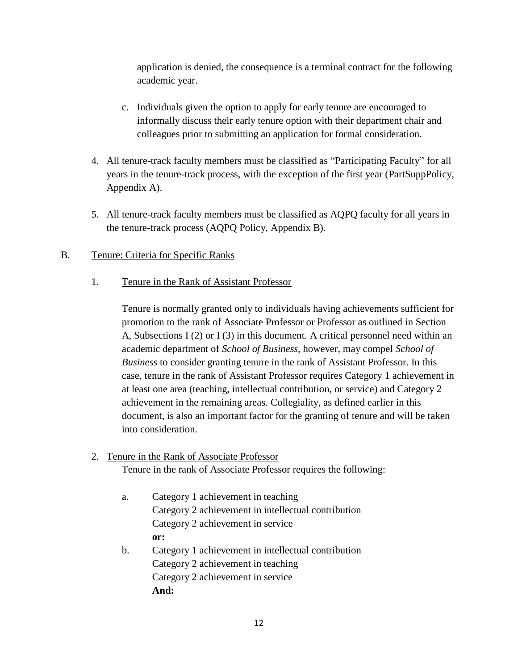application is denied, the consequence is a terminal contract for the following academic year.

- c. Individuals given the option to apply for early tenure are encouraged to informally discuss their early tenure option with their department chair and colleagues prior to submitting an application for formal consideration.
- 4. All tenure-track faculty members must be classified as "Participating Faculty" for all years in the tenure-track process, with the exception of the first year (PartSuppPolicy, Appendix A).
- the tenure-track process (AQPQ Policy, Appendix B). 5. All tenure-track faculty members must be classified as AQPQ faculty for all years in

### B. Tenure: Criteria for Specific Ranks

## 1. Tenure in the Rank of Assistant Professor

 A, Subsections I (2) or I (3) in this document. A critical personnel need within an case, tenure in the rank of Assistant Professor requires Category 1 achievement in Tenure is normally granted only to individuals having achievements sufficient for promotion to the rank of Associate Professor or Professor as outlined in Section academic department of *School of Business,* however, may compel *School of Business* to consider granting tenure in the rank of Assistant Professor. In this at least one area (teaching, intellectual contribution, or service) and Category 2 achievement in the remaining areas. Collegiality, as defined earlier in this document, is also an important factor for the granting of tenure and will be taken into consideration.

### 2. Tenure in the Rank of Associate Professor

Tenure in the rank of Associate Professor requires the following:

- a. Category 1 achievement in teaching Category 2 achievement in intellectual contribution Category 2 achievement in service **or:**  b. Category 1 achievement in intellectual contribution
	- Category 2 achievement in teaching Category 2 achievement in service
		- **And:**